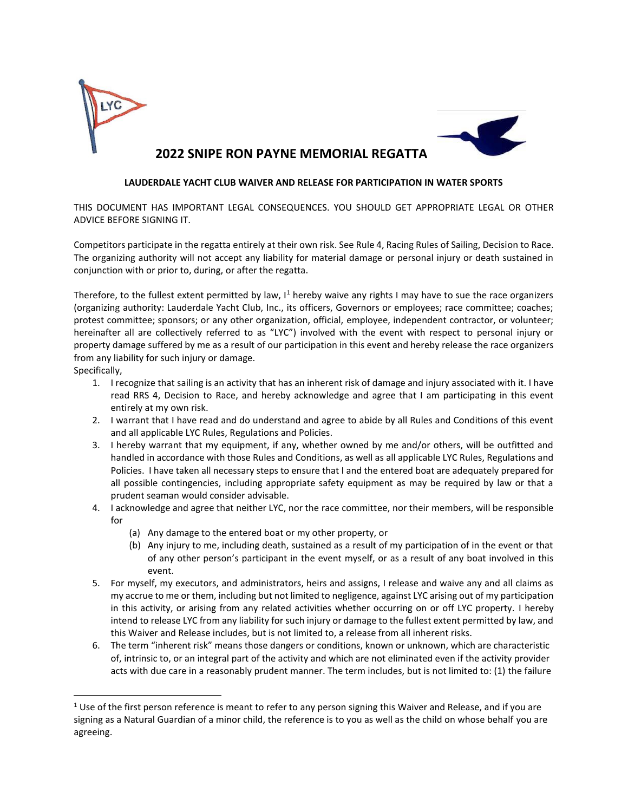

### **LAUDERDALE YACHT CLUB WAIVER AND RELEASE FOR PARTICIPATION IN WATER SPORTS**

THIS DOCUMENT HAS IMPORTANT LEGAL CONSEQUENCES. YOU SHOULD GET APPROPRIATE LEGAL OR OTHER ADVICE BEFORE SIGNING IT.

Competitors participate in the regatta entirely at their own risk. See Rule 4, Racing Rules of Sailing, Decision to Race. The organizing authority will not accept any liability for material damage or personal injury or death sustained in conjunction with or prior to, during, or after the regatta.

Therefore, to the fullest extent permitted by law,  $I<sup>1</sup>$  hereby waive any rights I may have to sue the race organizers (organizing authority: Lauderdale Yacht Club, Inc., its officers, Governors or employees; race committee; coaches; protest committee; sponsors; or any other organization, official, employee, independent contractor, or volunteer; hereinafter all are collectively referred to as "LYC") involved with the event with respect to personal injury or property damage suffered by me as a result of our participation in this event and hereby release the race organizers from any liability for such injury or damage.

Specifically,

- 1. I recognize that sailing is an activity that has an inherent risk of damage and injury associated with it. I have read RRS 4, Decision to Race, and hereby acknowledge and agree that I am participating in this event entirely at my own risk.
- 2. I warrant that I have read and do understand and agree to abide by all Rules and Conditions of this event and all applicable LYC Rules, Regulations and Policies.
- 3. I hereby warrant that my equipment, if any, whether owned by me and/or others, will be outfitted and handled in accordance with those Rules and Conditions, as well as all applicable LYC Rules, Regulations and Policies. I have taken all necessary steps to ensure that I and the entered boat are adequately prepared for all possible contingencies, including appropriate safety equipment as may be required by law or that a prudent seaman would consider advisable.
- 4. I acknowledge and agree that neither LYC, nor the race committee, nor their members, will be responsible for
	- (a) Any damage to the entered boat or my other property, or
	- (b) Any injury to me, including death, sustained as a result of my participation of in the event or that of any other person's participant in the event myself, or as a result of any boat involved in this event.
- 5. For myself, my executors, and administrators, heirs and assigns, I release and waive any and all claims as my accrue to me or them, including but not limited to negligence, against LYC arising out of my participation in this activity, or arising from any related activities whether occurring on or off LYC property. I hereby intend to release LYC from any liability for such injury or damage to the fullest extent permitted by law, and this Waiver and Release includes, but is not limited to, a release from all inherent risks.
- 6. The term "inherent risk" means those dangers or conditions, known or unknown, which are characteristic of, intrinsic to, or an integral part of the activity and which are not eliminated even if the activity provider acts with due care in a reasonably prudent manner. The term includes, but is not limited to: (1) the failure

 $1$  Use of the first person reference is meant to refer to any person signing this Waiver and Release, and if you are signing as a Natural Guardian of a minor child, the reference is to you as well as the child on whose behalf you are agreeing.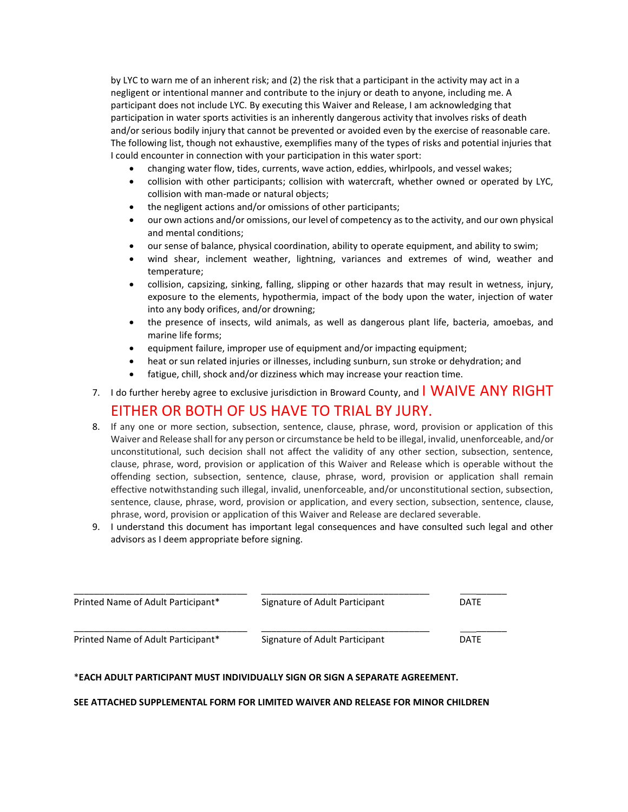by LYC to warn me of an inherent risk; and (2) the risk that a participant in the activity may act in a negligent or intentional manner and contribute to the injury or death to anyone, including me. A participant does not include LYC. By executing this Waiver and Release, I am acknowledging that participation in water sports activities is an inherently dangerous activity that involves risks of death and/or serious bodily injury that cannot be prevented or avoided even by the exercise of reasonable care. The following list, though not exhaustive, exemplifies many of the types of risks and potential injuries that I could encounter in connection with your participation in this water sport:

- changing water flow, tides, currents, wave action, eddies, whirlpools, and vessel wakes;
- collision with other participants; collision with watercraft, whether owned or operated by LYC, collision with man-made or natural objects;
- the negligent actions and/or omissions of other participants;
- our own actions and/or omissions, our level of competency as to the activity, and our own physical and mental conditions;
- our sense of balance, physical coordination, ability to operate equipment, and ability to swim;
- wind shear, inclement weather, lightning, variances and extremes of wind, weather and temperature;
- collision, capsizing, sinking, falling, slipping or other hazards that may result in wetness, injury, exposure to the elements, hypothermia, impact of the body upon the water, injection of water into any body orifices, and/or drowning;
- the presence of insects, wild animals, as well as dangerous plant life, bacteria, amoebas, and marine life forms;
- equipment failure, improper use of equipment and/or impacting equipment;
- heat or sun related injuries or illnesses, including sunburn, sun stroke or dehydration; and
- fatigue, chill, shock and/or dizziness which may increase your reaction time.

## 7. I do further hereby agree to exclusive jurisdiction in Broward County, and  $\blacksquare$  WAIVE ANY RIGHT

## EITHER OR BOTH OF US HAVE TO TRIAL BY JURY.

- 8. If any one or more section, subsection, sentence, clause, phrase, word, provision or application of this Waiver and Release shall for any person or circumstance be held to be illegal, invalid, unenforceable, and/or unconstitutional, such decision shall not affect the validity of any other section, subsection, sentence, clause, phrase, word, provision or application of this Waiver and Release which is operable without the offending section, subsection, sentence, clause, phrase, word, provision or application shall remain effective notwithstanding such illegal, invalid, unenforceable, and/or unconstitutional section, subsection, sentence, clause, phrase, word, provision or application, and every section, subsection, sentence, clause, phrase, word, provision or application of this Waiver and Release are declared severable.
- 9. I understand this document has important legal consequences and have consulted such legal and other advisors as I deem appropriate before signing.

| Printed Name of Adult Participant* | Signature of Adult Participant | DATE |
|------------------------------------|--------------------------------|------|
| Printed Name of Adult Participant* | Signature of Adult Participant | DATE |

### \***EACH ADULT PARTICIPANT MUST INDIVIDUALLY SIGN OR SIGN A SEPARATE AGREEMENT.**

#### **SEE ATTACHED SUPPLEMENTAL FORM FOR LIMITED WAIVER AND RELEASE FOR MINOR CHILDREN**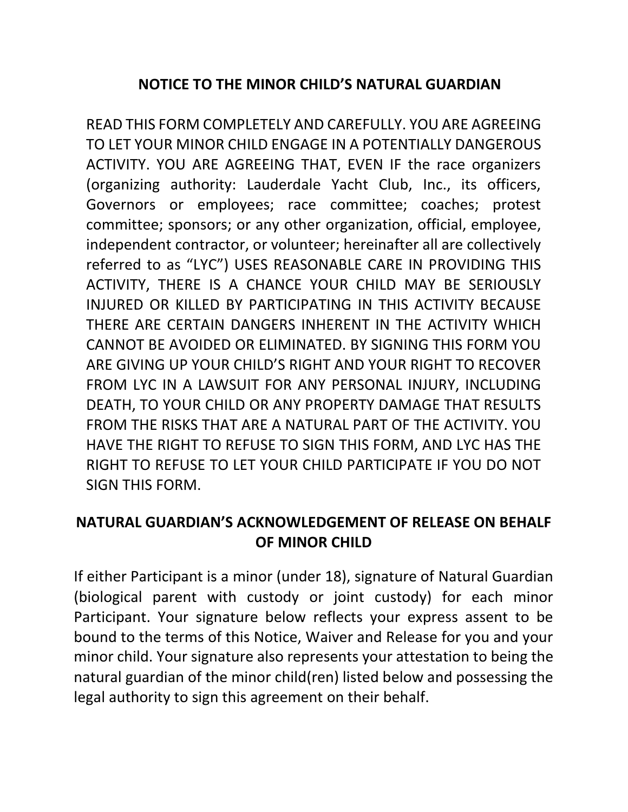# **NOTICE TO THE MINOR CHILD'S NATURAL GUARDIAN**

READ THIS FORM COMPLETELY AND CAREFULLY. YOU ARE AGREEING TO LET YOUR MINOR CHILD ENGAGE IN A POTENTIALLY DANGEROUS ACTIVITY. YOU ARE AGREEING THAT, EVEN IF the race organizers (organizing authority: Lauderdale Yacht Club, Inc., its officers, Governors or employees; race committee; coaches; protest committee; sponsors; or any other organization, official, employee, independent contractor, or volunteer; hereinafter all are collectively referred to as "LYC") USES REASONABLE CARE IN PROVIDING THIS ACTIVITY, THERE IS A CHANCE YOUR CHILD MAY BE SERIOUSLY INJURED OR KILLED BY PARTICIPATING IN THIS ACTIVITY BECAUSE THERE ARE CERTAIN DANGERS INHERENT IN THE ACTIVITY WHICH CANNOT BE AVOIDED OR ELIMINATED. BY SIGNING THIS FORM YOU ARE GIVING UP YOUR CHILD'S RIGHT AND YOUR RIGHT TO RECOVER FROM LYC IN A LAWSUIT FOR ANY PERSONAL INJURY, INCLUDING DEATH, TO YOUR CHILD OR ANY PROPERTY DAMAGE THAT RESULTS FROM THE RISKS THAT ARE A NATURAL PART OF THE ACTIVITY. YOU HAVE THE RIGHT TO REFUSE TO SIGN THIS FORM, AND LYC HAS THE RIGHT TO REFUSE TO LET YOUR CHILD PARTICIPATE IF YOU DO NOT SIGN THIS FORM.

# **NATURAL GUARDIAN'S ACKNOWLEDGEMENT OF RELEASE ON BEHALF OF MINOR CHILD**

If either Participant is a minor (under 18), signature of Natural Guardian (biological parent with custody or joint custody) for each minor Participant. Your signature below reflects your express assent to be bound to the terms of this Notice, Waiver and Release for you and your minor child. Your signature also represents your attestation to being the natural guardian of the minor child(ren) listed below and possessing the legal authority to sign this agreement on their behalf.